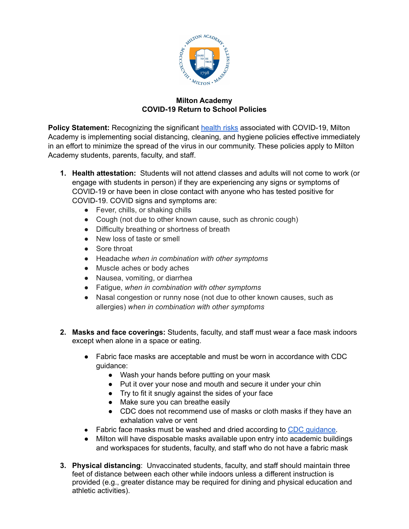

## **Milton Academy COVID-19 Return to School Policies**

**Policy Statement:** Recognizing the significant [health](https://www.cdc.gov/coronavirus/2019-ncov/symptoms-testing/symptoms.html) risks associated with COVID-19, Milton Academy is implementing social distancing, cleaning, and hygiene policies effective immediately in an effort to minimize the spread of the virus in our community. These policies apply to Milton Academy students, parents, faculty, and staff.

- **1. Health attestation:** Students will not attend classes and adults will not come to work (or engage with students in person) if they are experiencing any signs or symptoms of COVID-19 or have been in close contact with anyone who has tested positive for COVID-19. COVID signs and symptoms are:
	- Fever, chills, or shaking chills
	- Cough (not due to other known cause, such as chronic cough)
	- Difficulty breathing or shortness of breath
	- New loss of taste or smell
	- Sore throat
	- Headache *when in combination with other symptoms*
	- Muscle aches or body aches
	- Nausea, vomiting, or diarrhea
	- Fatigue, *when in combination with other symptoms*
	- Nasal congestion or runny nose (not due to other known causes, such as allergies) *when in combination with other symptoms*
- **2. Masks and face coverings:** Students, faculty, and staff must wear a face mask indoors except when alone in a space or eating.
	- **●** Fabric face masks are acceptable and must be worn in accordance with CDC guidance:
		- Wash your hands before putting on your mask
		- Put it over your nose and mouth and secure it under your chin
		- Try to fit it snugly against the sides of your face
		- Make sure you can breathe easily
		- CDC does not recommend use of masks or cloth masks if they have an exhalation valve or vent
	- Fabric face masks must be washed and dried according to CDC quidance.
	- **●** Milton will have disposable masks available upon entry into academic buildings and workspaces for students, faculty, and staff who do not have a fabric mask
- **3. Physical distancing**: Unvaccinated students, faculty, and staff should maintain three feet of distance between each other while indoors unless a different instruction is provided (e.g., greater distance may be required for dining and physical education and athletic activities).